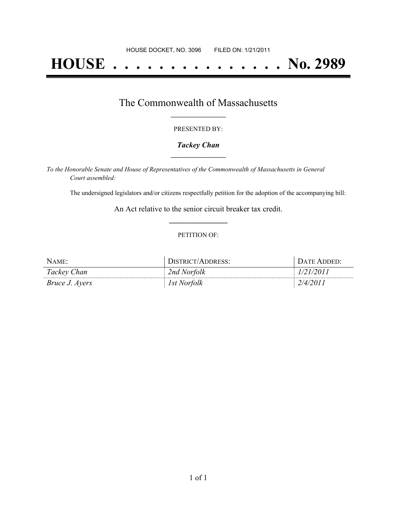# **HOUSE . . . . . . . . . . . . . . . No. 2989**

### The Commonwealth of Massachusetts **\_\_\_\_\_\_\_\_\_\_\_\_\_\_\_\_\_**

#### PRESENTED BY:

#### *Tackey Chan* **\_\_\_\_\_\_\_\_\_\_\_\_\_\_\_\_\_**

*To the Honorable Senate and House of Representatives of the Commonwealth of Massachusetts in General Court assembled:*

The undersigned legislators and/or citizens respectfully petition for the adoption of the accompanying bill:

An Act relative to the senior circuit breaker tax credit. **\_\_\_\_\_\_\_\_\_\_\_\_\_\_\_**

#### PETITION OF:

| NAME:                 | <i><b>JISTRICT/ADDRESS:</b></i> | JATE ADDED: |
|-----------------------|---------------------------------|-------------|
| Tackey Chan           | 2nd Norfolk                     |             |
| <i>Bruce J. Ayers</i> | 1st Norfolk                     | /4/         |